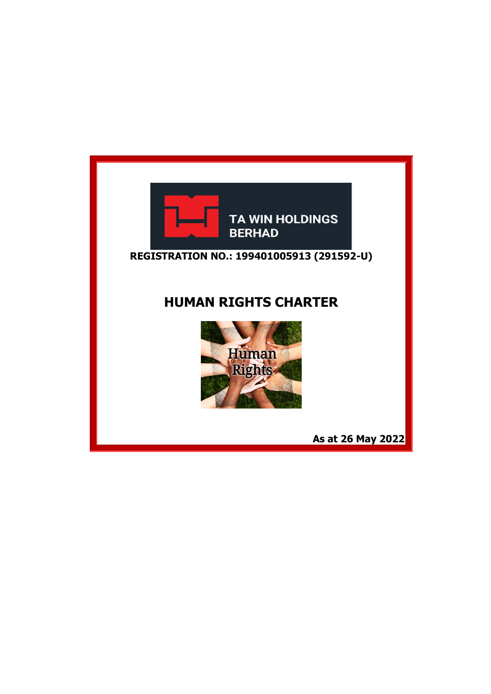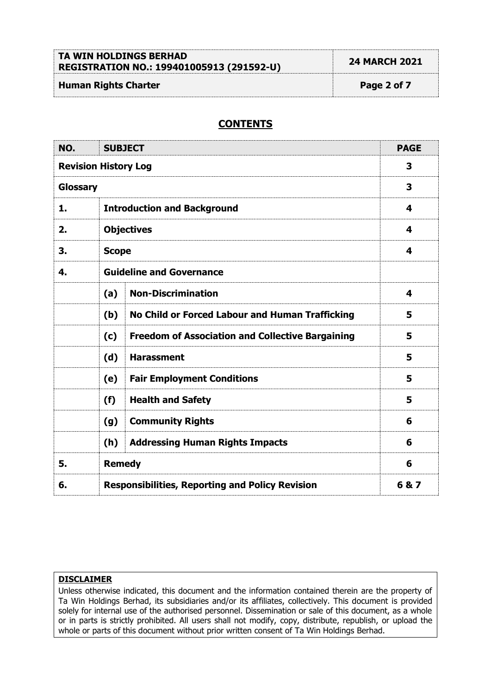# **TA WIN HOLDINGS BERHAD REGISTRATION NO.: 199401005913 (291592-U) 24 MARCH 2021**

# **Human Rights Charter Page 2 of 7**

# **CONTENTS**

| NO.                         | <b>SUBJECT</b>                                         |                                                         | <b>PAGE</b> |
|-----------------------------|--------------------------------------------------------|---------------------------------------------------------|-------------|
| <b>Revision History Log</b> |                                                        |                                                         | 3           |
| Glossary                    |                                                        |                                                         | 3           |
| 1.                          | <b>Introduction and Background</b>                     |                                                         | 4           |
| 2.                          | <b>Objectives</b>                                      |                                                         | 4           |
| 3.                          | <b>Scope</b>                                           |                                                         | 4           |
| 4.                          | <b>Guideline and Governance</b>                        |                                                         |             |
|                             | (a)                                                    | <b>Non-Discrimination</b>                               | 4           |
|                             | (b)                                                    | No Child or Forced Labour and Human Trafficking         | 5           |
|                             | (c)                                                    | <b>Freedom of Association and Collective Bargaining</b> | 5           |
|                             | (d)                                                    | <b>Harassment</b>                                       | 5           |
|                             | (e)                                                    | <b>Fair Employment Conditions</b>                       | 5           |
|                             | (f)                                                    | <b>Health and Safety</b>                                | 5           |
|                             | (g)                                                    | <b>Community Rights</b>                                 | 6           |
|                             | (h)                                                    | <b>Addressing Human Rights Impacts</b>                  | 6           |
| 5.                          | <b>Remedy</b>                                          |                                                         | 6           |
| 6.                          | <b>Responsibilities, Reporting and Policy Revision</b> |                                                         | 6&7         |

# **DISCLAIMER**

Unless otherwise indicated, this document and the information contained therein are the property of Ta Win Holdings Berhad, its subsidiaries and/or its affiliates, collectively. This document is provided solely for internal use of the authorised personnel. Dissemination or sale of this document, as a whole or in parts is strictly prohibited. All users shall not modify, copy, distribute, republish, or upload the whole or parts of this document without prior written consent of Ta Win Holdings Berhad.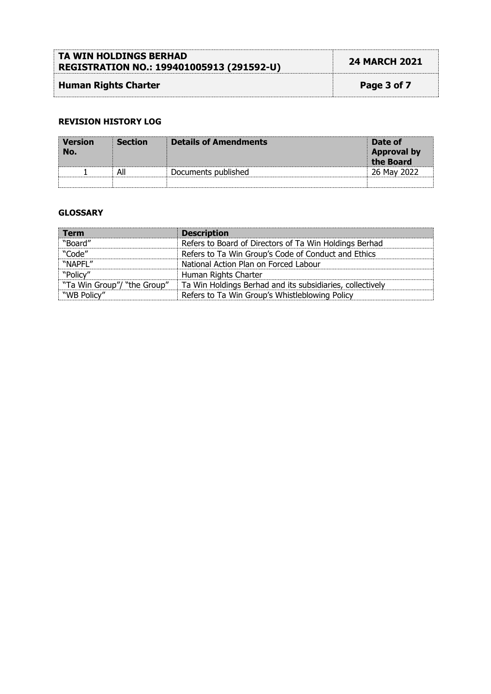| TA WIN HOLDINGS BERHAD<br>REGISTRATION NO.: 199401005913 (291592-U) | <b>24 MARCH 2021</b> |
|---------------------------------------------------------------------|----------------------|
| <b>Human Rights Charter</b>                                         | Page 3 of 7          |

# **REVISION HISTORY LOG**

| <b>Version</b><br>No. | <b>Section</b> | <b>Details of Amendments</b> | Date of<br><b>Approval by</b><br>the Board |
|-----------------------|----------------|------------------------------|--------------------------------------------|
|                       | All            | Documents published          | 26 May 2022                                |
|                       |                |                              |                                            |

# **GLOSSARY**

| <b>Term</b>                 | <b>Description</b>                                        |
|-----------------------------|-----------------------------------------------------------|
| "Board"                     | Refers to Board of Directors of Ta Win Holdings Berhad    |
| "Code"                      | Refers to Ta Win Group's Code of Conduct and Ethics       |
| "NAPFL"                     | National Action Plan on Forced Labour                     |
| "Policy"                    | Human Rights Charter                                      |
| "Ta Win Group"/ "the Group" | Ta Win Holdings Berhad and its subsidiaries, collectively |
| "WB Policy"                 | Refers to Ta Win Group's Whistleblowing Policy            |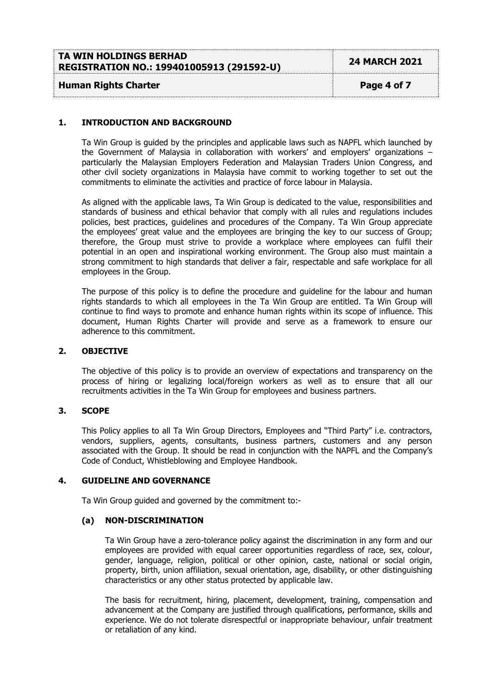| <b>TA WIN HOLDINGS BERHAD</b>             | <b>24 MARCH 2021</b> |
|-------------------------------------------|----------------------|
| REGISTRATION NO.: 199401005913 (291592-U) |                      |
|                                           |                      |

# **Human Rights Charter Page 4 of 7**

# **1. INTRODUCTION AND BACKGROUND**

Ta Win Group is guided by the principles and applicable laws such as NAPFL which launched by the Government of Malaysia in collaboration with workers' and employers' organizations – particularly the Malaysian Employers Federation and Malaysian Traders Union Congress, and other civil society organizations in Malaysia have commit to working together to set out the commitments to eliminate the activities and practice of force labour in Malaysia.

As aligned with the applicable laws, Ta Win Group is dedicated to the value, responsibilities and standards of business and ethical behavior that comply with all rules and regulations includes policies, best practices, guidelines and procedures of the Company. Ta Win Group appreciate the employees' great value and the employees are bringing the key to our success of Group; therefore, the Group must strive to provide a workplace where employees can fulfil their potential in an open and inspirational working environment. The Group also must maintain a strong commitment to high standards that deliver a fair, respectable and safe workplace for all employees in the Group.

The purpose of this policy is to define the procedure and guideline for the labour and human rights standards to which all employees in the Ta Win Group are entitled. Ta Win Group will continue to find ways to promote and enhance human rights within its scope of influence. This document, Human Rights Charter will provide and serve as a framework to ensure our adherence to this commitment.

# **2. OBJECTIVE**

The objective of this policy is to provide an overview of expectations and transparency on the process of hiring or legalizing local/foreign workers as well as to ensure that all our recruitments activities in the Ta Win Group for employees and business partners.

# **3. SCOPE**

This Policy applies to all Ta Win Group Directors, Employees and "Third Party" i.e. contractors, vendors, suppliers, agents, consultants, business partners, customers and any person associated with the Group. It should be read in conjunction with the NAPFL and the Company's Code of Conduct, Whistleblowing and Employee Handbook.

#### **4. GUIDELINE AND GOVERNANCE**

Ta Win Group guided and governed by the commitment to:-

# **(a) NON-DISCRIMINATION**

Ta Win Group have a zero-tolerance policy against the discrimination in any form and our employees are provided with equal career opportunities regardless of race, sex, colour, gender, language, religion, political or other opinion, caste, national or social origin, property, birth, union affiliation, sexual orientation, age, disability, or other distinguishing characteristics or any other status protected by applicable law.

The basis for recruitment, hiring, placement, development, training, compensation and advancement at the Company are justified through qualifications, performance, skills and experience. We do not tolerate disrespectful or inappropriate behaviour, unfair treatment or retaliation of any kind.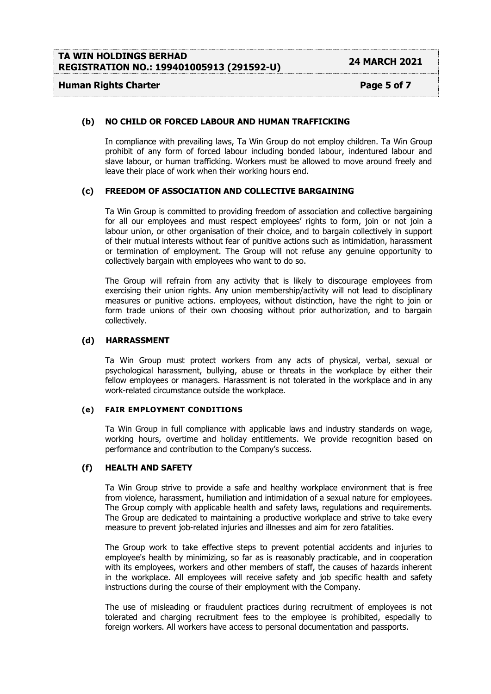# **Human Rights Charter Page 5** of 7

# **(b) NO CHILD OR FORCED LABOUR AND HUMAN TRAFFICKING**

In compliance with prevailing laws, Ta Win Group do not employ children. Ta Win Group prohibit of any form of forced labour including bonded labour, indentured labour and slave labour, or human trafficking. Workers must be allowed to move around freely and leave their place of work when their working hours end.

# **(c) FREEDOM OF ASSOCIATION AND COLLECTIVE BARGAINING**

Ta Win Group is committed to providing freedom of association and collective bargaining for all our employees and must respect employees' rights to form, join or not join a labour union, or other organisation of their choice, and to bargain collectively in support of their mutual interests without fear of punitive actions such as intimidation, harassment or termination of employment. The Group will not refuse any genuine opportunity to collectively bargain with employees who want to do so.

The Group will refrain from any activity that is likely to discourage employees from exercising their union rights. Any union membership/activity will not lead to disciplinary measures or punitive actions. employees, without distinction, have the right to join or form trade unions of their own choosing without prior authorization, and to bargain collectively.

# **(d) HARRASSMENT**

Ta Win Group must protect workers from any acts of physical, verbal, sexual or psychological harassment, bullying, abuse or threats in the workplace by either their fellow employees or managers. Harassment is not tolerated in the workplace and in any work-related circumstance outside the workplace.

# **(e) FAIR EMPLOYMENT CONDITIONS**

Ta Win Group in full compliance with applicable laws and industry standards on wage, working hours, overtime and holiday entitlements. We provide recognition based on performance and contribution to the Company's success.

# **(f) HEALTH AND SAFETY**

Ta Win Group strive to provide a safe and healthy workplace environment that is free from violence, harassment, humiliation and intimidation of a sexual nature for employees. The Group comply with applicable health and safety laws, regulations and requirements. The Group are dedicated to maintaining a productive workplace and strive to take every measure to prevent job-related injuries and illnesses and aim for zero fatalities.

The Group work to take effective steps to prevent potential accidents and injuries to employee's health by minimizing, so far as is reasonably practicable, and in cooperation with its employees, workers and other members of staff, the causes of hazards inherent in the workplace. All employees will receive safety and job specific health and safety instructions during the course of their employment with the Company.

The use of misleading or fraudulent practices during recruitment of employees is not tolerated and charging recruitment fees to the employee is prohibited, especially to foreign workers. All workers have access to personal documentation and passports.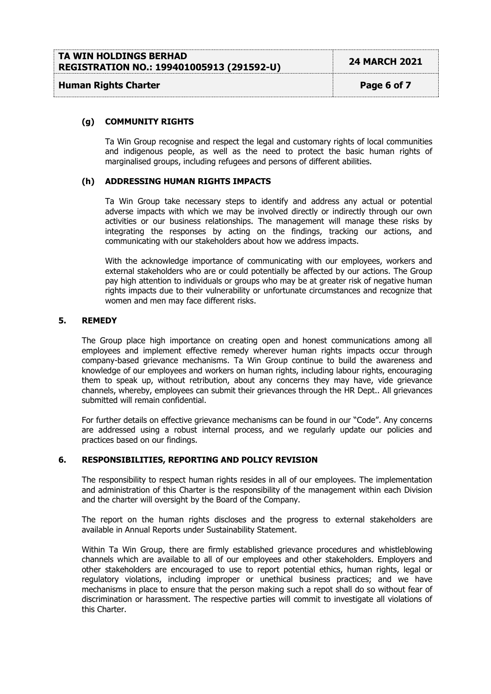| TA WIN HOLDINGS BERHAD                    |                      |
|-------------------------------------------|----------------------|
| REGISTRATION NO.: 199401005913 (291592-U) | <b>24 MARCH 2021</b> |
|                                           |                      |

# **Human Rights Charter Page 6 of 7**

#### **(g) COMMUNITY RIGHTS**

Ta Win Group recognise and respect the legal and customary rights of local communities and indigenous people, as well as the need to protect the basic human rights of marginalised groups, including refugees and persons of different abilities.

# **(h) ADDRESSING HUMAN RIGHTS IMPACTS**

Ta Win Group take necessary steps to identify and address any actual or potential adverse impacts with which we may be involved directly or indirectly through our own activities or our business relationships. The management will manage these risks by integrating the responses by acting on the findings, tracking our actions, and communicating with our stakeholders about how we address impacts.

With the acknowledge importance of communicating with our employees, workers and external stakeholders who are or could potentially be affected by our actions. The Group pay high attention to individuals or groups who may be at greater risk of negative human rights impacts due to their vulnerability or unfortunate circumstances and recognize that women and men may face different risks.

#### **5. REMEDY**

The Group place high importance on creating open and honest communications among all employees and implement effective remedy wherever human rights impacts occur through company-based grievance mechanisms. Ta Win Group continue to build the awareness and knowledge of our employees and workers on human rights, including labour rights, encouraging them to speak up, without retribution, about any concerns they may have, vide grievance channels, whereby, employees can submit their grievances through the HR Dept.. All grievances submitted will remain confidential.

For further details on effective grievance mechanisms can be found in our "Code". Any concerns are addressed using a robust internal process, and we regularly update our policies and practices based on our findings.

#### **6. RESPONSIBILITIES, REPORTING AND POLICY REVISION**

The responsibility to respect human rights resides in all of our employees. The implementation and administration of this Charter is the responsibility of the management within each Division and the charter will oversight by the Board of the Company.

The report on the human rights discloses and the progress to external stakeholders are available in Annual Reports under Sustainability Statement.

Within Ta Win Group, there are firmly established grievance procedures and whistleblowing channels which are available to all of our employees and other stakeholders. Employers and other stakeholders are encouraged to use to report potential ethics, human rights, legal or regulatory violations, including improper or unethical business practices; and we have mechanisms in place to ensure that the person making such a repot shall do so without fear of discrimination or harassment. The respective parties will commit to investigate all violations of this Charter.